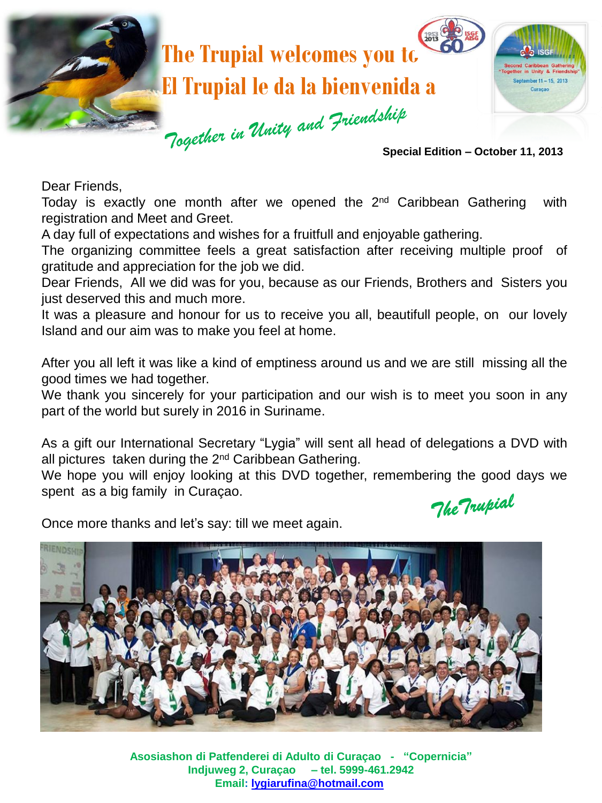

Dear Friends,

Today is exactly one month after we opened the 2<sup>nd</sup> Caribbean Gathering with registration and Meet and Greet.

A day full of expectations and wishes for a fruitfull and enjoyable gathering.

The organizing committee feels a great satisfaction after receiving multiple proof of gratitude and appreciation for the job we did.

Dear Friends, All we did was for you, because as our Friends, Brothers and Sisters you just deserved this and much more.

It was a pleasure and honour for us to receive you all, beautifull people, on our lovely Island and our aim was to make you feel at home.

After you all left it was like a kind of emptiness around us and we are still missing all the good times we had together.

We thank you sincerely for your participation and our wish is to meet you soon in any part of the world but surely in 2016 in Suriname.

As a gift our International Secretary "Lygia" will sent all head of delegations a DVD with all pictures taken during the 2<sup>nd</sup> Caribbean Gathering.

We hope you will enjoy looking at this DVD together, remembering the good days we spent as a big family in Curaçao.

The Trupial

Once more thanks and let's say: till we meet again.



**Asosiashon di Patfenderei di Adulto di Curaçao - "Copernicia" Indjuweg 2, Curaçao – tel. 5999-461.2942 Email: [lygiarufina@hotmail.com](mailto:lygiarufina@hotmail.com)**